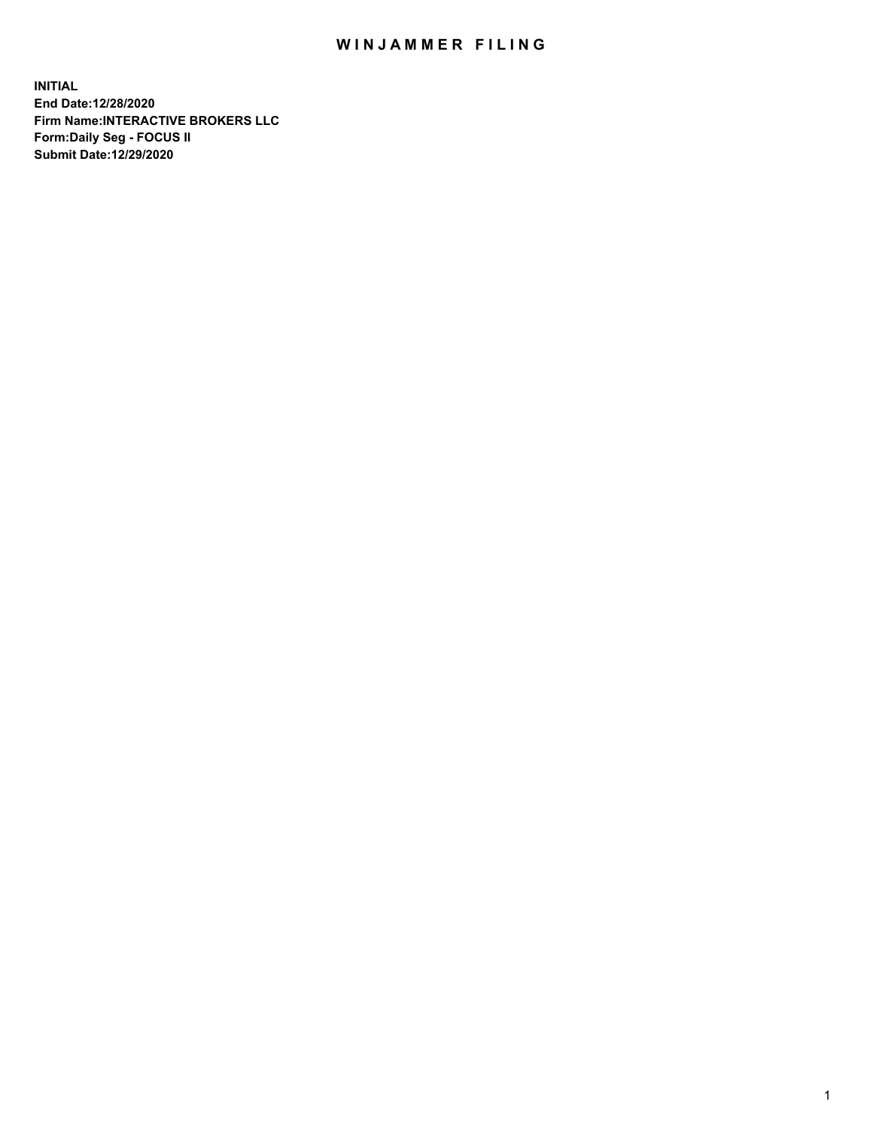## WIN JAMMER FILING

**INITIAL End Date:12/28/2020 Firm Name:INTERACTIVE BROKERS LLC Form:Daily Seg - FOCUS II Submit Date:12/29/2020**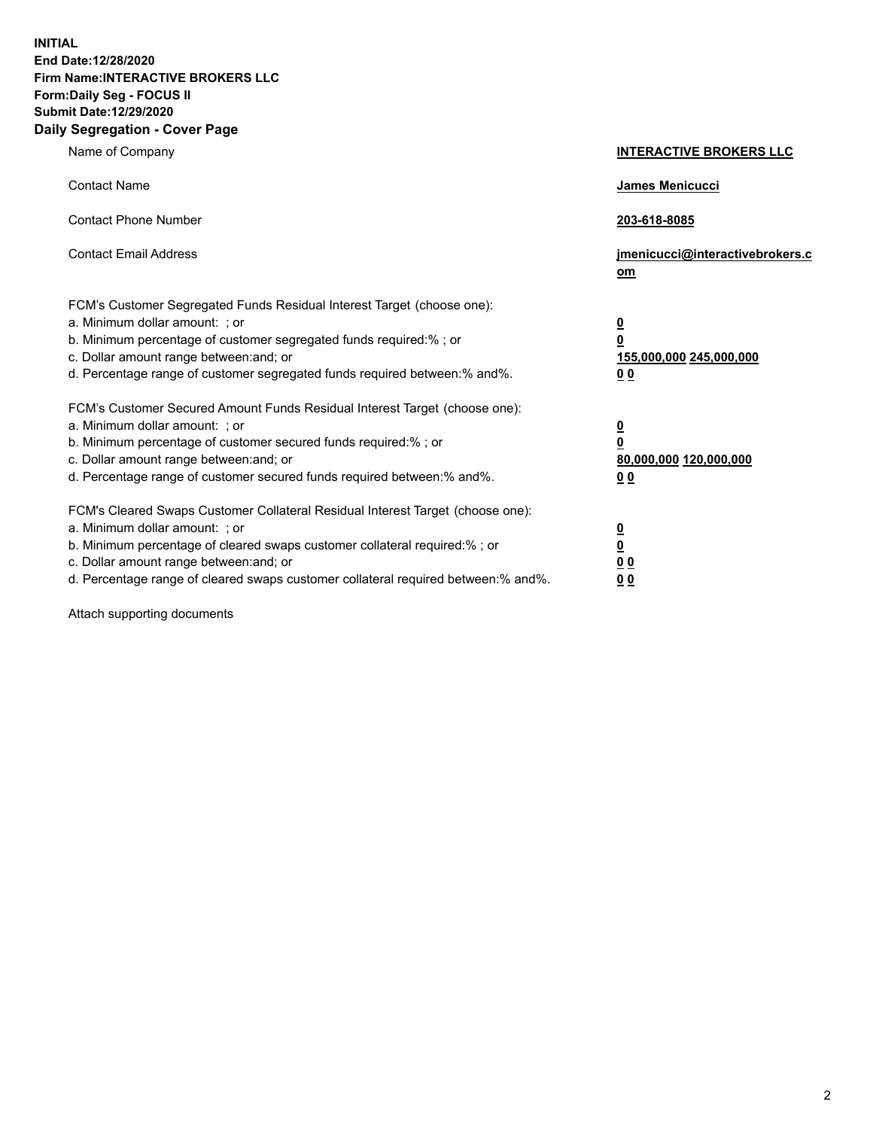**INITIAL End Date:12/28/2020 Firm Name:INTERACTIVE BROKERS LLC Form:Daily Seg - FOCUS II Submit Date:12/29/2020 Daily Segregation - Cover Page**

| Name of Company                                                                                                                                                                                                                                                                                                                | <b>INTERACTIVE BROKERS LLC</b>                                                                  |  |
|--------------------------------------------------------------------------------------------------------------------------------------------------------------------------------------------------------------------------------------------------------------------------------------------------------------------------------|-------------------------------------------------------------------------------------------------|--|
| <b>Contact Name</b>                                                                                                                                                                                                                                                                                                            | James Menicucci                                                                                 |  |
| <b>Contact Phone Number</b>                                                                                                                                                                                                                                                                                                    | 203-618-8085                                                                                    |  |
| <b>Contact Email Address</b>                                                                                                                                                                                                                                                                                                   | jmenicucci@interactivebrokers.c<br>om                                                           |  |
| FCM's Customer Segregated Funds Residual Interest Target (choose one):<br>a. Minimum dollar amount: ; or<br>b. Minimum percentage of customer segregated funds required:% ; or<br>c. Dollar amount range between: and; or<br>d. Percentage range of customer segregated funds required between:% and%.                         | $\overline{\mathbf{0}}$<br>$\overline{\mathbf{0}}$<br>155,000,000 245,000,000<br>0 <sub>0</sub> |  |
| FCM's Customer Secured Amount Funds Residual Interest Target (choose one):<br>a. Minimum dollar amount: ; or<br>b. Minimum percentage of customer secured funds required:% ; or<br>c. Dollar amount range between: and; or<br>d. Percentage range of customer secured funds required between:% and%.                           | <u>0</u><br>$\overline{\mathbf{0}}$<br>80,000,000 120,000,000<br>0 <sub>0</sub>                 |  |
| FCM's Cleared Swaps Customer Collateral Residual Interest Target (choose one):<br>a. Minimum dollar amount: ; or<br>b. Minimum percentage of cleared swaps customer collateral required:% ; or<br>c. Dollar amount range between: and; or<br>d. Percentage range of cleared swaps customer collateral required between:% and%. | $\frac{0}{0}$<br>0 <sub>0</sub><br>0 <sub>0</sub>                                               |  |

Attach supporting documents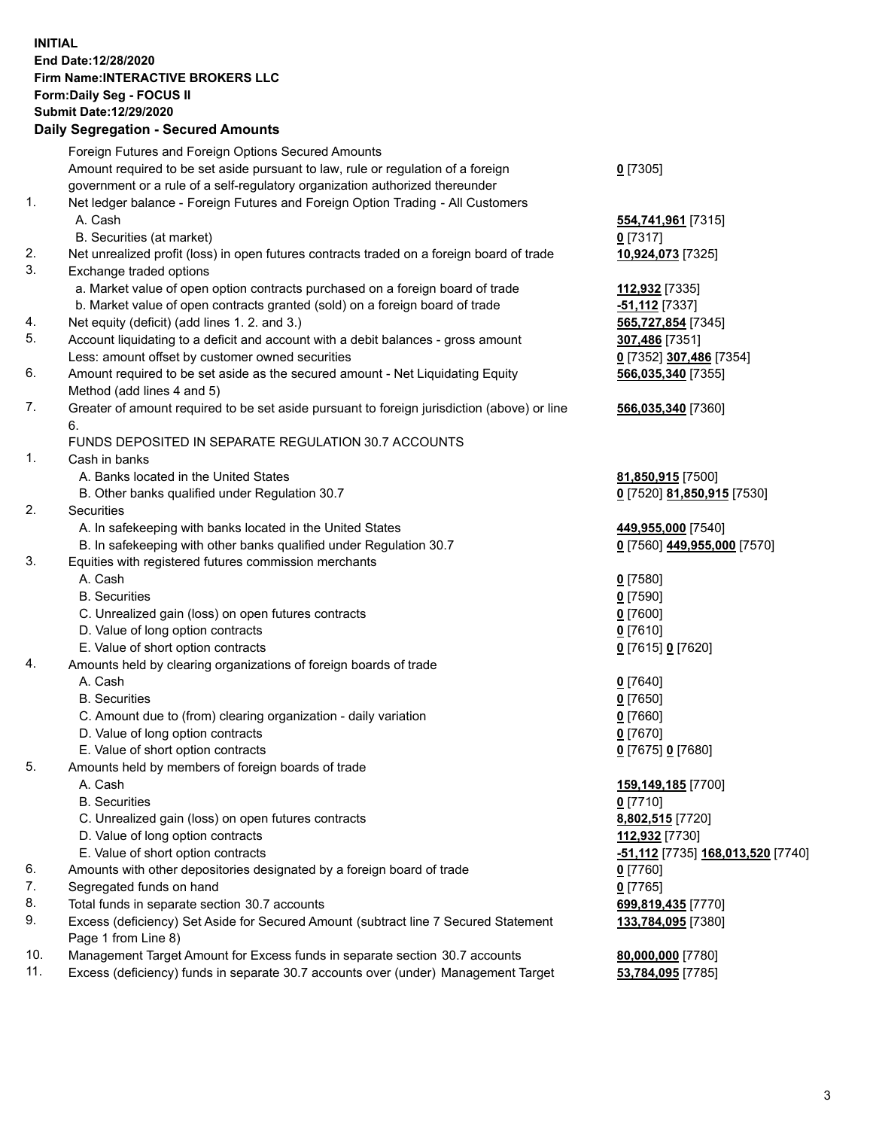**INITIAL End Date:12/28/2020 Firm Name:INTERACTIVE BROKERS LLC Form:Daily Seg - FOCUS II Submit Date:12/29/2020 Daily Segregation - Secured Amounts**

## Foreign Futures and Foreign Options Secured Amounts Amount required to be set aside pursuant to law, rule or regulation of a foreign government or a rule of a self-regulatory organization authorized thereunder **0** [7305] 1. Net ledger balance - Foreign Futures and Foreign Option Trading - All Customers A. Cash **554,741,961** [7315] B. Securities (at market) **0** [7317] 2. Net unrealized profit (loss) in open futures contracts traded on a foreign board of trade **10,924,073** [7325] 3. Exchange traded options a. Market value of open option contracts purchased on a foreign board of trade **112,932** [7335] b. Market value of open contracts granted (sold) on a foreign board of trade **-51,112** [7337] 4. Net equity (deficit) (add lines 1. 2. and 3.) **565,727,854** [7345] 5. Account liquidating to a deficit and account with a debit balances - gross amount **307,486** [7351] Less: amount offset by customer owned securities **0** [7352] **307,486** [7354] 6. Amount required to be set aside as the secured amount - Net Liquidating Equity Method (add lines 4 and 5) **566,035,340** [7355] 7. Greater of amount required to be set aside pursuant to foreign jurisdiction (above) or line 6. **566,035,340** [7360] FUNDS DEPOSITED IN SEPARATE REGULATION 30.7 ACCOUNTS 1. Cash in banks A. Banks located in the United States **81,850,915** [7500] B. Other banks qualified under Regulation 30.7 **0** [7520] **81,850,915** [7530] 2. Securities A. In safekeeping with banks located in the United States **449,955,000** [7540] B. In safekeeping with other banks qualified under Regulation 30.7 **0** [7560] **449,955,000** [7570] 3. Equities with registered futures commission merchants A. Cash **0** [7580] B. Securities **0** [7590] C. Unrealized gain (loss) on open futures contracts **0** [7600] D. Value of long option contracts **0** [7610] E. Value of short option contracts **0** [7615] **0** [7620] 4. Amounts held by clearing organizations of foreign boards of trade A. Cash **0** [7640] B. Securities **0** [7650] C. Amount due to (from) clearing organization - daily variation **0** [7660] D. Value of long option contracts **0** [7670] E. Value of short option contracts **0** [7675] **0** [7680] 5. Amounts held by members of foreign boards of trade A. Cash **159,149,185** [7700] B. Securities **0** [7710] C. Unrealized gain (loss) on open futures contracts **8,802,515** [7720] D. Value of long option contracts **112,932** [7730] E. Value of short option contracts **-51,112** [7735] **168,013,520** [7740] 6. Amounts with other depositories designated by a foreign board of trade **0** [7760] 7. Segregated funds on hand **0** [7765] 8. Total funds in separate section 30.7 accounts **699,819,435** [7770] 9. Excess (deficiency) Set Aside for Secured Amount (subtract line 7 Secured Statement Page 1 from Line 8) **133,784,095** [7380] 10. Management Target Amount for Excess funds in separate section 30.7 accounts **80,000,000** [7780] 11. Excess (deficiency) funds in separate 30.7 accounts over (under) Management Target **53,784,095** [7785]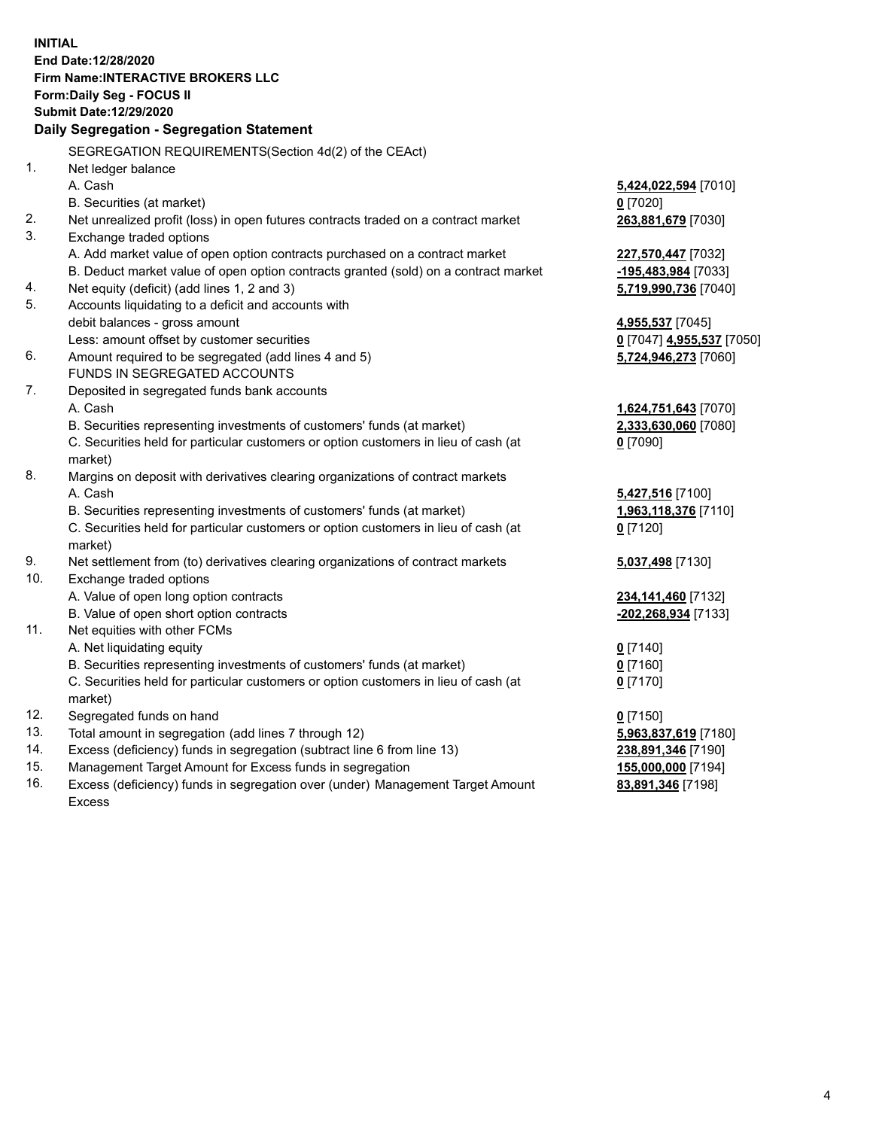**INITIAL End Date:12/28/2020 Firm Name:INTERACTIVE BROKERS LLC Form:Daily Seg - FOCUS II Submit Date:12/29/2020 Daily Segregation - Segregation Statement** SEGREGATION REQUIREMENTS(Section 4d(2) of the CEAct) 1. Net ledger balance A. Cash **5,424,022,594** [7010] B. Securities (at market) **0** [7020] 2. Net unrealized profit (loss) in open futures contracts traded on a contract market **263,881,679** [7030] 3. Exchange traded options A. Add market value of open option contracts purchased on a contract market **227,570,447** [7032] B. Deduct market value of open option contracts granted (sold) on a contract market **-195,483,984** [7033] 4. Net equity (deficit) (add lines 1, 2 and 3) **5,719,990,736** [7040] 5. Accounts liquidating to a deficit and accounts with debit balances - gross amount **4,955,537** [7045] Less: amount offset by customer securities **0** [7047] **4,955,537** [7050] 6. Amount required to be segregated (add lines 4 and 5) **5,724,946,273** [7060] FUNDS IN SEGREGATED ACCOUNTS 7. Deposited in segregated funds bank accounts A. Cash **1,624,751,643** [7070] B. Securities representing investments of customers' funds (at market) **2,333,630,060** [7080] C. Securities held for particular customers or option customers in lieu of cash (at market) **0** [7090] 8. Margins on deposit with derivatives clearing organizations of contract markets A. Cash **5,427,516** [7100] B. Securities representing investments of customers' funds (at market) **1,963,118,376** [7110] C. Securities held for particular customers or option customers in lieu of cash (at market) **0** [7120] 9. Net settlement from (to) derivatives clearing organizations of contract markets **5,037,498** [7130] 10. Exchange traded options A. Value of open long option contracts **234,141,460** [7132] B. Value of open short option contracts **-202,268,934** [7133] 11. Net equities with other FCMs A. Net liquidating equity **0** [7140] B. Securities representing investments of customers' funds (at market) **0** [7160] C. Securities held for particular customers or option customers in lieu of cash (at market) **0** [7170] 12. Segregated funds on hand **0** [7150] 13. Total amount in segregation (add lines 7 through 12) **5,963,837,619** [7180] 14. Excess (deficiency) funds in segregation (subtract line 6 from line 13) **238,891,346** [7190] 15. Management Target Amount for Excess funds in segregation **155,000,000** [7194]

16. Excess (deficiency) funds in segregation over (under) Management Target Amount Excess

**83,891,346** [7198]